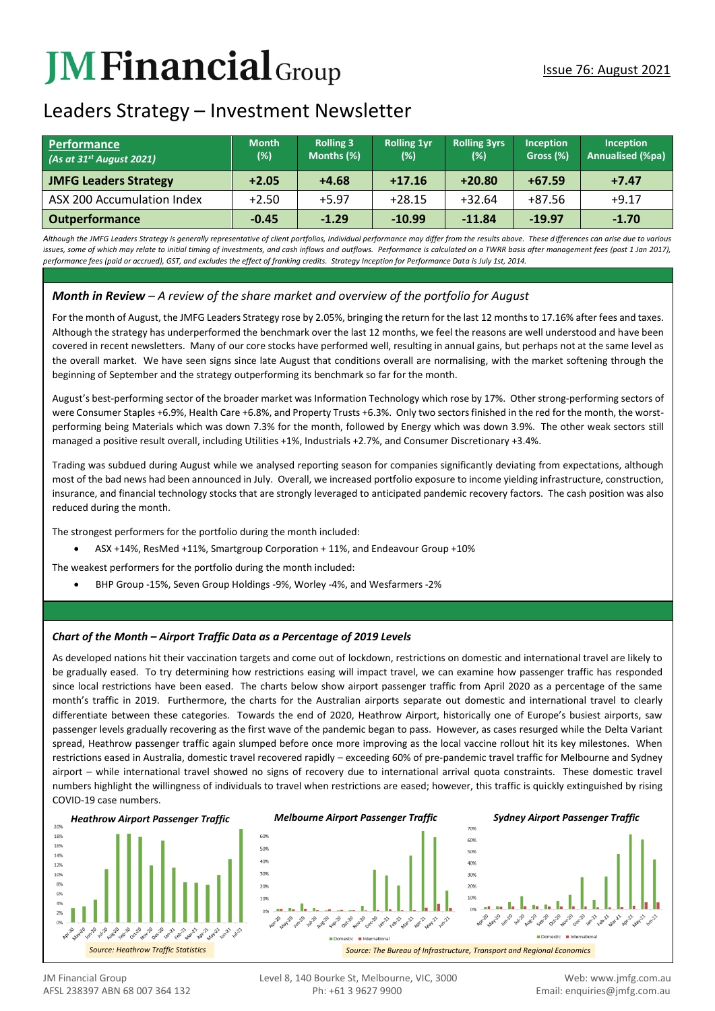# **JMFinancial**Group

# Leaders Strategy – Investment Newsletter

| <b>Performance</b><br>(As at $31^{st}$ August 2021) | <b>Month</b><br>(%) | <b>Rolling 3</b><br>Months (%) | <b>Rolling 1yr</b><br>(%) | <b>Rolling 3yrs</b><br>$(\%)$ | <b>Inception</b><br>Gross (%) | <b>Inception</b><br><b>Annualised (%pa)</b> |
|-----------------------------------------------------|---------------------|--------------------------------|---------------------------|-------------------------------|-------------------------------|---------------------------------------------|
| <b>JMFG Leaders Strategy</b>                        | $+2.05$             | $+4.68$                        | $+17.16$                  | $+20.80$                      | $+67.59$                      | $+7.47$                                     |
| ASX 200 Accumulation Index                          | $+2.50$             | $+5.97$                        | $+28.15$                  | $+32.64$                      | +87.56                        | $+9.17$                                     |
| <b>Outperformance</b>                               | $-0.45$             | $-1.29$                        | $-10.99$                  | $-11.84$                      | $-19.97$                      | $-1.70$                                     |

*Although the JMFG Leaders Strategy is generally representative of client portfolios, Individual performance may differ from the results above. These differences can arise due to various*  issues, some of which may relate to initial timing of investments, and cash inflows and outflows. Performance is calculated on a TWRR basis after management fees (post 1 Jan 2017). *performance fees (paid or accrued), GST, and excludes the effect of franking credits. Strategy Inception for Performance Data is July 1st, 2014.*

# *Month in Review – A review of the share market and overview of the portfolio for August*

For the month of August, the JMFG Leaders Strategy rose by 2.05%, bringing the return for the last 12 months to 17.16% after fees and taxes. Although the strategy has underperformed the benchmark over the last 12 months, we feel the reasons are well understood and have been covered in recent newsletters. Many of our core stocks have performed well, resulting in annual gains, but perhaps not at the same level as the overall market. We have seen signs since late August that conditions overall are normalising, with the market softening through the beginning of September and the strategy outperforming its benchmark so far for the month.

August's best-performing sector of the broader market was Information Technology which rose by 17%. Other strong-performing sectors of were Consumer Staples +6.9%, Health Care +6.8%, and Property Trusts +6.3%. Only two sectors finished in the red for the month, the worstperforming being Materials which was down 7.3% for the month, followed by Energy which was down 3.9%. The other weak sectors still managed a positive result overall, including Utilities +1%, Industrials +2.7%, and Consumer Discretionary +3.4%.

Trading was subdued during August while we analysed reporting season for companies significantly deviating from expectations, although most of the bad news had been announced in July. Overall, we increased portfolio exposure to income yielding infrastructure, construction, insurance, and financial technology stocks that are strongly leveraged to anticipated pandemic recovery factors. The cash position was also reduced during the month.

The strongest performers for the portfolio during the month included:

- ASX +14%, ResMed +11%, Smartgroup Corporation + 11%, and Endeavour Group +10%
- The weakest performers for the portfolio during the month included:
	- BHP Group -15%, Seven Group Holdings -9%, Worley -4%, and Wesfarmers -2%

## *Chart of the Month – Airport Traffic Data as a Percentage of 2019 Levels*

As developed nations hit their vaccination targets and come out of lockdown, restrictions on domestic and international travel are likely to be gradually eased. To try determining how restrictions easing will impact travel, we can examine how passenger traffic has responded since local restrictions have been eased. The charts below show airport passenger traffic from April 2020 as a percentage of the same month's traffic in 2019. Furthermore, the charts for the Australian airports separate out domestic and international travel to clearly differentiate between these categories. Towards the end of 2020, Heathrow Airport, historically one of Europe's busiest airports, saw passenger levels gradually recovering as the first wave of the pandemic began to pass. However, as cases resurged while the Delta Variant spread, Heathrow passenger traffic again slumped before once more improving as the local vaccine rollout hit its key milestones. When restrictions eased in Australia, domestic travel recovered rapidly – exceeding 60% of pre-pandemic travel traffic for Melbourne and Sydney airport – while international travel showed no signs of recovery due to international arrival quota constraints. These domestic travel numbers highlight the willingness of individuals to travel when restrictions are eased; however, this traffic is quickly extinguished by rising COVID-19 case numbers.